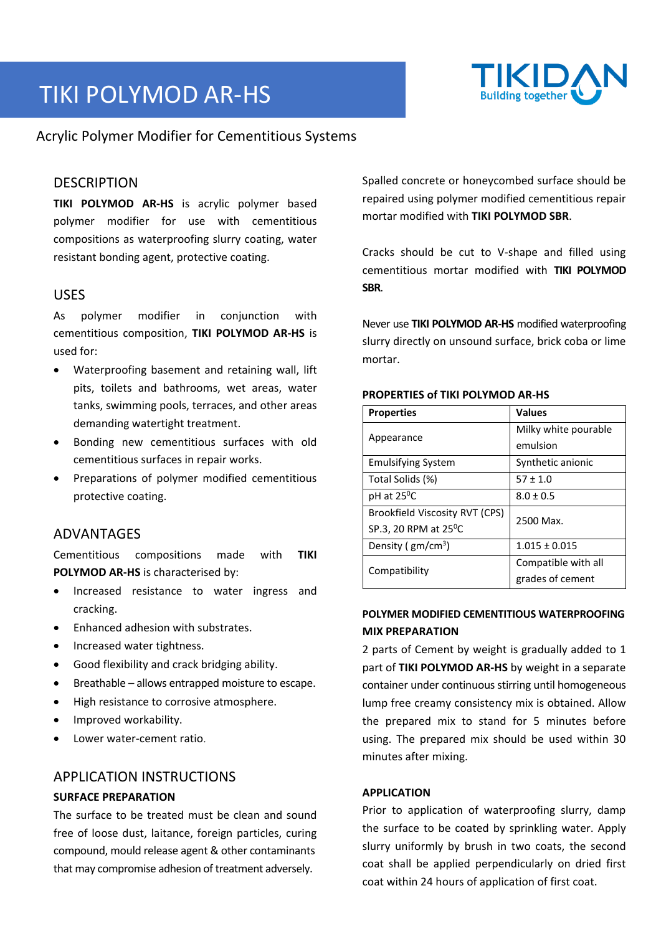# TIKI POLYMOD AR‐HS



Acrylic Polymer Modifier for Cementitious Systems

## **DESCRIPTION**

**TIKI POLYMOD AR-HS** is acrylic polymer based polymer modifier for use with cementitious compositions as waterproofing slurry coating, water resistant bonding agent, protective coating.

## USES

As polymer modifier in conjunction with cementitious composition, **TIKI POLYMOD AR‐HS** is used for:

- Waterproofing basement and retaining wall, lift pits, toilets and bathrooms, wet areas, water tanks, swimming pools, terraces, and other areas demanding watertight treatment.
- Bonding new cementitious surfaces with old cementitious surfaces in repair works.
- Preparations of polymer modified cementitious protective coating.

## ADVANTAGES

Cementitious compositions made with **TIKI POLYMOD AR‐HS** is characterised by:

- Increased resistance to water ingress and cracking.
- Enhanced adhesion with substrates.
- Increased water tightness.
- Good flexibility and crack bridging ability.
- Breathable allows entrapped moisture to escape.
- High resistance to corrosive atmosphere.
- Improved workability.
- Lower water‐cement ratio.

## APPLICATION INSTRUCTIONS

### **SURFACE PREPARATION**

The surface to be treated must be clean and sound free of loose dust, laitance, foreign particles, curing compound, mould release agent & other contaminants that may compromise adhesion of treatment adversely.

Spalled concrete or honeycombed surface should be repaired using polymer modified cementitious repair mortar modified with **TIKI POLYMOD SBR**.

Cracks should be cut to V‐shape and filled using cementitious mortar modified with **TIKI POLYMOD SBR**.

Never use **TIKI POLYMOD AR‐HS** modified waterproofing slurry directly on unsound surface, brick coba or lime mortar.

| <b>Properties</b>              | <b>Values</b>        |
|--------------------------------|----------------------|
| Appearance                     | Milky white pourable |
|                                | emulsion             |
| <b>Emulsifying System</b>      | Synthetic anionic    |
| Total Solids (%)               | $57 \pm 1.0$         |
| pH at 25 <sup>o</sup> C        | $8.0 \pm 0.5$        |
| Brookfield Viscosity RVT (CPS) | 2500 Max.            |
| SP.3, 20 RPM at $25^{\circ}$ C |                      |
| Density ( $gm/cm3$ )           | $1.015 \pm 0.015$    |
| Compatibility                  | Compatible with all  |
|                                | grades of cement     |

#### **PROPERTIES of TIKI POLYMOD AR‐HS**

## **POLYMER MODIFIED CEMENTITIOUS WATERPROOFING MIX PREPARATION**

2 parts of Cement by weight is gradually added to 1 part of **TIKI POLYMOD AR‐HS** by weight in a separate container under continuous stirring until homogeneous lump free creamy consistency mix is obtained. Allow the prepared mix to stand for 5 minutes before using. The prepared mix should be used within 30 minutes after mixing.

#### **APPLICATION**

Prior to application of waterproofing slurry, damp the surface to be coated by sprinkling water. Apply slurry uniformly by brush in two coats, the second coat shall be applied perpendicularly on dried first coat within 24 hours of application of first coat.